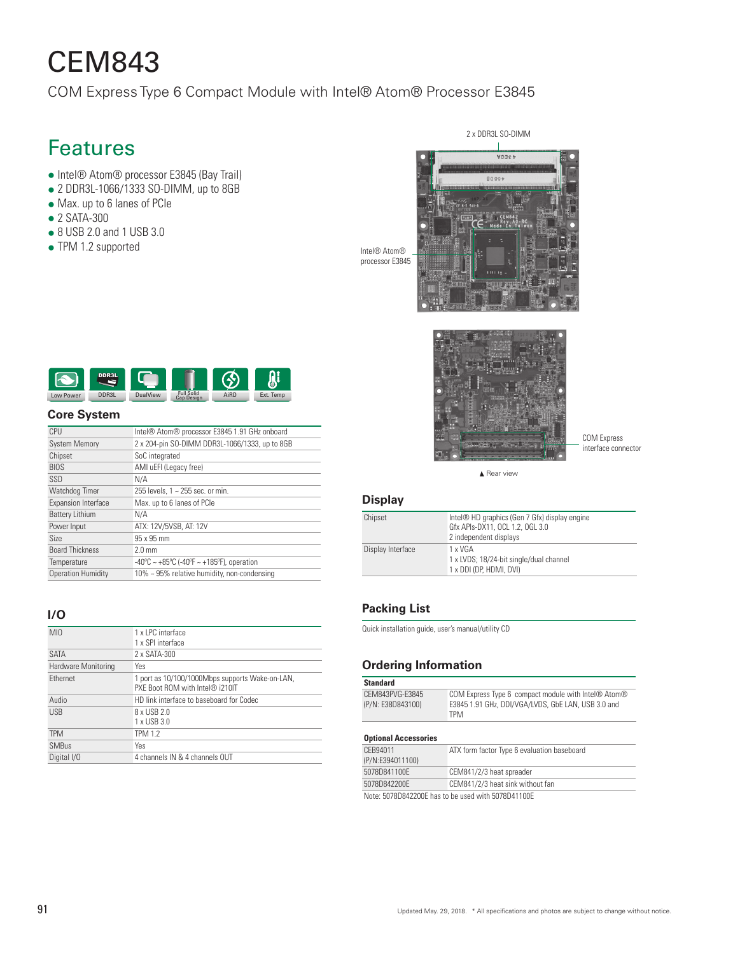# CEM843

### COM Express Type 6 Compact Module with Intel® Atom® Processor E3845

## Features

- Intel® Atom® processor E3845 (Bay Trail)
- 2 DDR3L-1066/1333 SO-DIMM, up to 8GB
- Max. up to 6 lanes of PCIe
- 2 SATA-300
- 8 USB 2.0 and 1 USB 3.0
- TPM 1.2 supported





COM Express interface connector

**A** Rear view

#### **Display**

| Chipset           | Intel <sup>®</sup> HD graphics (Gen 7 Gfx) display engine<br>Gfx APIs-DX11, OCL 1.2, OGL 3.0<br>2 independent displays |
|-------------------|------------------------------------------------------------------------------------------------------------------------|
| Display Interface | 1 x VGA<br>1 x LVDS; 18/24-bit single/dual channel<br>1 x DDI (DP, HDMI, DVI)                                          |

#### **Packing List**

Quick installation guide, user's manual/utility CD

#### **Ordering Information**

| <b>Standard</b>                      |                                                                                                                         |
|--------------------------------------|-------------------------------------------------------------------------------------------------------------------------|
| CFM843PVG-F3845<br>(P/N: E38D843100) | COM Express Type 6 compact module with Intel® Atom®<br>E3845 1.91 GHz, DDI/VGA/LVDS, GbE LAN, USB 3.0 and<br><b>TPM</b> |
| <b>Optional Accessories</b>          |                                                                                                                         |
| CFB94011<br>(P/N:E394011100)         | ATX form factor Type 6 evaluation baseboard                                                                             |
| 5078D841100F                         | CEM841/2/3 heat spreader                                                                                                |
| 5078D842200F                         | CEM841/2/3 heat sink without fan                                                                                        |

Note: 5078D842200E has to be used with 5078D41100E

|           | <b>DDRAIL</b> |                 |                                        |      |           |
|-----------|---------------|-----------------|----------------------------------------|------|-----------|
| Low Power | DDR3L         | <b>DualView</b> | <b>Full Solid</b><br><b>Cap Design</b> | AiRD | Ext. Temp |

#### **Core System**

| CPU                        | Intel® Atom® processor E3845 1.91 GHz onboard  |
|----------------------------|------------------------------------------------|
| <b>System Memory</b>       | 2 x 204-pin SO-DIMM DDR3L-1066/1333, up to 8GB |
| Chipset                    | SoC integrated                                 |
| <b>BIOS</b>                | AMI uEFI (Legacy free)                         |
| SSD                        | N/A                                            |
| Watchdog Timer             | 255 levels, $1 \sim 255$ sec. or min.          |
| <b>Expansion Interface</b> | Max. up to 6 lanes of PCIe                     |
| <b>Battery Lithium</b>     | N/A                                            |
| Power Input                | ATX: 12V/5VSB, AT: 12V                         |
| <b>Size</b>                | 95 x 95 mm                                     |
| <b>Board Thickness</b>     | $2.0 \text{ mm}$                               |
| Temperature                | -40°C ~ +85°C (-40°F ~ +185°F), operation      |
| <b>Operation Humidity</b>  | 10% ~ 95% relative humidity, non-condensing    |

#### **I/O**

| <b>MIO</b>          | 1 x I PC interface<br>1 x SPI interface                                            |
|---------------------|------------------------------------------------------------------------------------|
|                     |                                                                                    |
| <b>SATA</b>         | 2 x SATA-300                                                                       |
| Hardware Monitoring | Yes                                                                                |
| <b>Fthernet</b>     | 1 port as 10/100/1000Mbps supports Wake-on-LAN,<br>PXF Boot ROM with Intel® i210IT |
| Audio               | HD link interface to baseboard for Codec                                           |
| <b>USB</b>          | 8 x USB 2.0<br>1 x USB 3.0                                                         |
| <b>TPM</b>          | <b>TPM 1.2</b>                                                                     |
| <b>SMBus</b>        | <b>Yes</b>                                                                         |
| Digital I/O         | 4 channels IN & 4 channels OUT                                                     |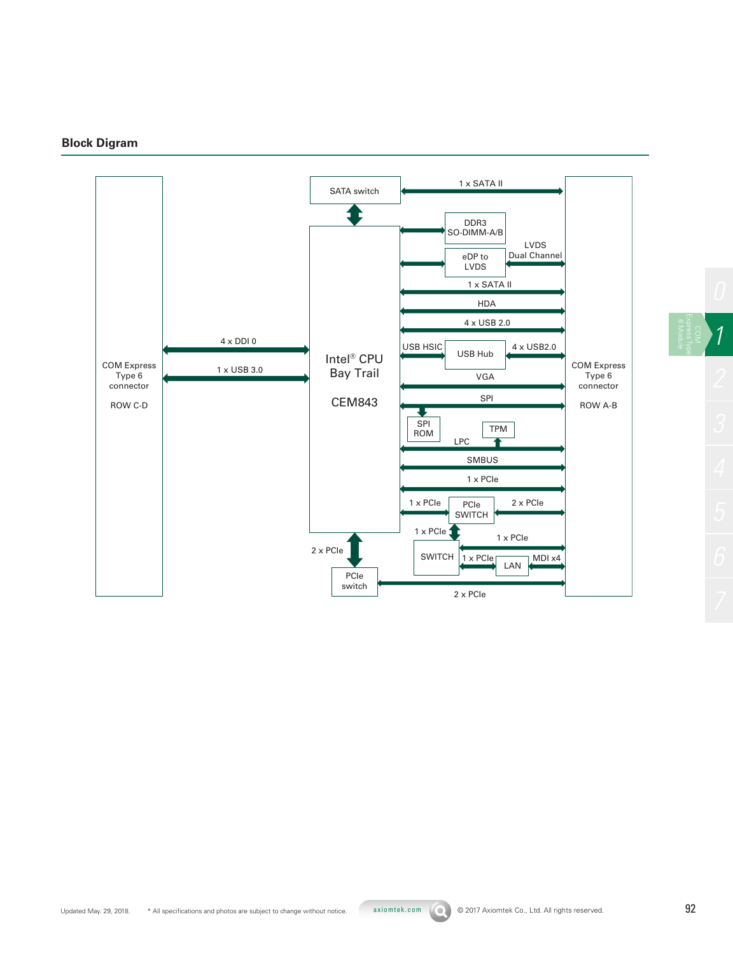#### **Block Digram**